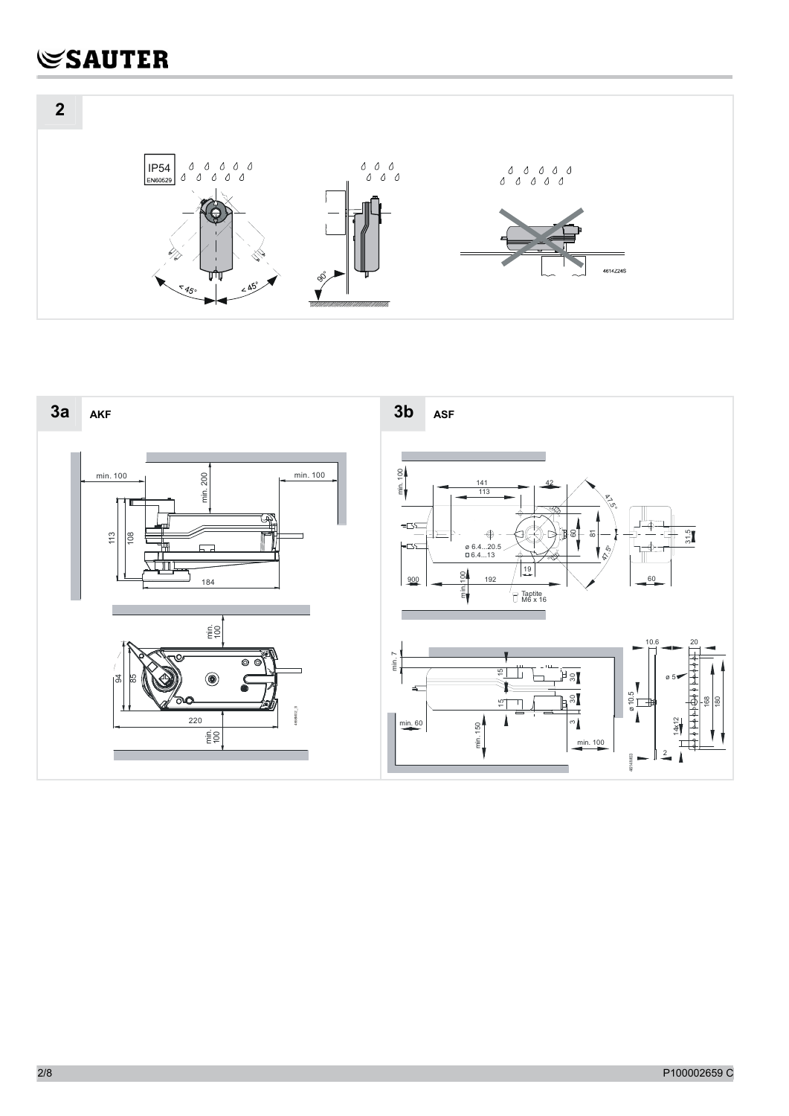

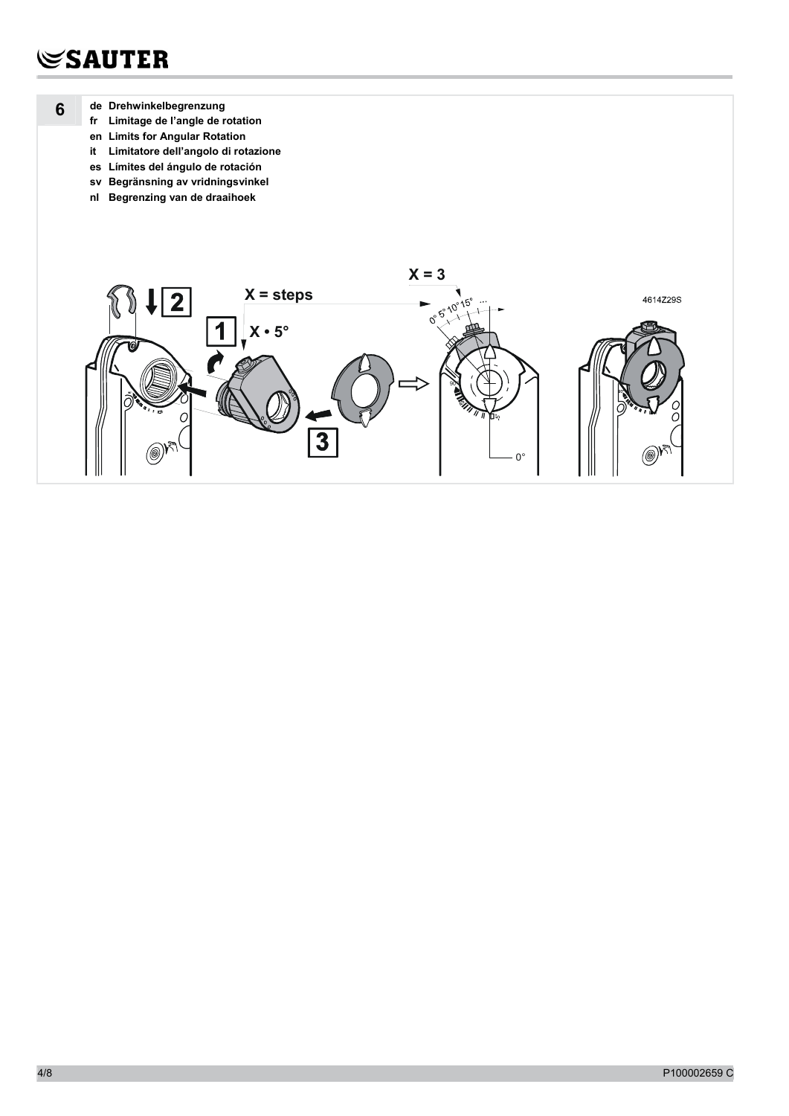$6\phantom{1}$ 

- de Drehwinkelbegrenzung
	- fr Limitage de l'angle de rotation
	- en Limits for Angular Rotation
	- it Limitatore dell'angolo di rotazione
	- es Límites del ángulo de rotación
	- sv Begränsning av vridningsvinkel nl Begrenzing van de draaihoek

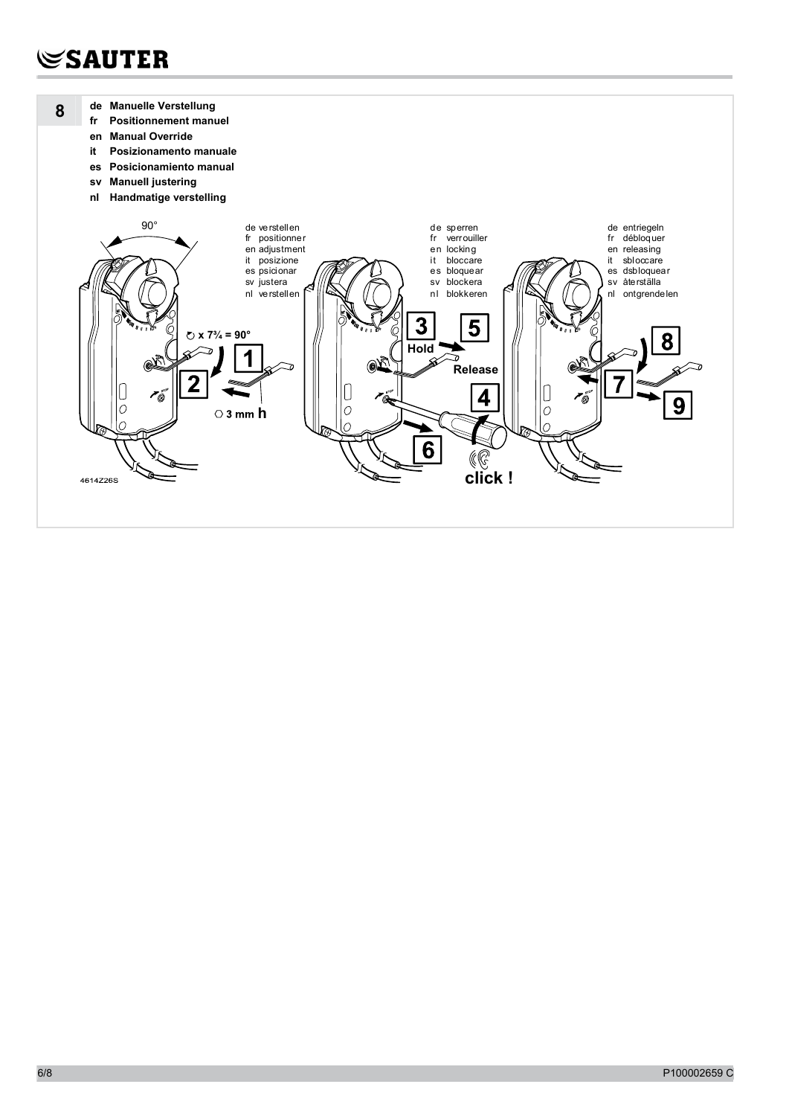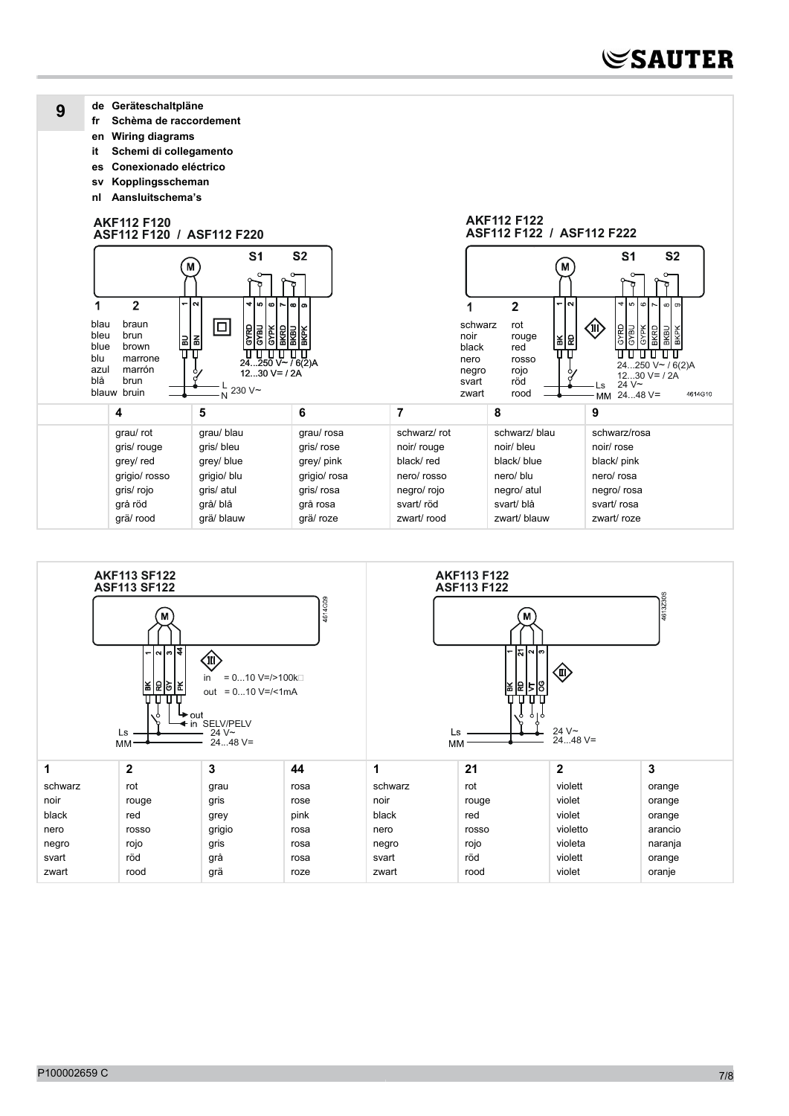